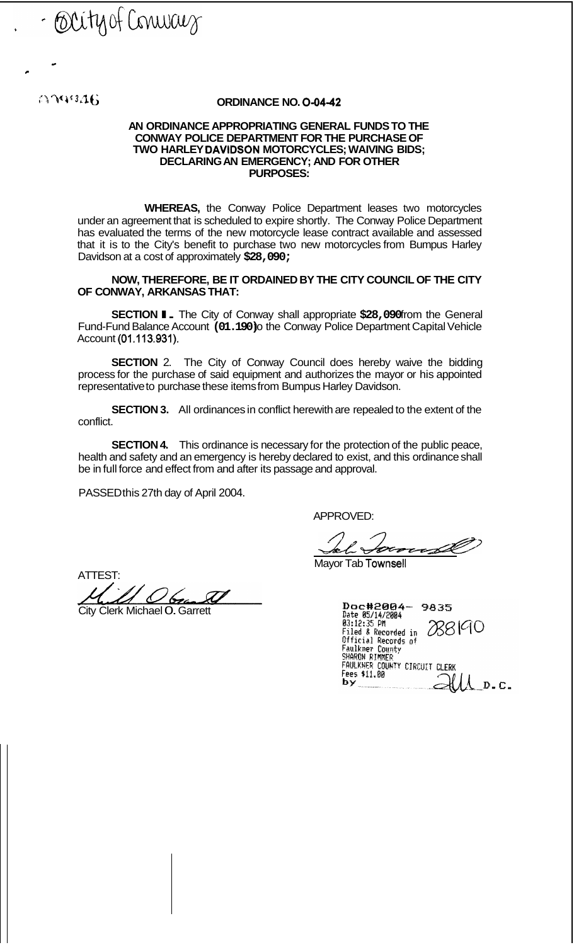- Occity of Conwary

*e* 

*c* 

## **4'** *3* **'It; ORDINANCE NO. 0-0442**

## **AN ORDINANCE APPROPRIATING GENERAL FUNDS TO THE CONWAY POLICE DEPARTMENT FOR THE PURCHASE OF TWO HARLEY DAVIDSON MOTORCYCLES; WAIVING BIDS; DECLARING AN EMERGENCY; AND FOR OTHER PURPOSES:**

**WHEREAS,** the Conway Police Department leases two motorcycles under an agreement that is scheduled to expire shortly. The Conway Police Department has evaluated the terms of the new motorcycle lease contract available and assessed that it is to the City's benefit to purchase two new motorcycles from Bumpus Harley Davidson at a cost of approximately **\$28,090;** 

**NOW, THEREFORE, BE IT ORDAINED BY THE CITY COUNCIL OF THE CITY OF CONWAY, ARKANSAS THAT:** 

**SECTION I.** The City of Conway shall appropriate \$28,090 from the General Fund-Fund Balance Account (01.190) the Conway Police Department Capital Vehicle Account **(01.113.931).** 

**SECTION** 2. The City of Conway Council does hereby waive the bidding process for the purchase of said equipment and authorizes the mayor or his appointed representative to purchase these items from Bumpus Harley Davidson.

**SECTION 3.** All ordinances in conflict herewith are repealed to the extent of the conflict.

**SECTION 4.** This ordinance is necessary for the protection of the public peace, health and safety and an emergency is hereby declared to exist, and this ordinance shall be in full force and effect from and after its passage and approval.

PASSED this 27th day of April 2004.

APPROVED:

<del>e</del>r

Mayor Tab Townsell

ATTEST:

City Clerk Michael 0. Garrett

Doc#2004-9835<br>Date 05/14/2004<br>03:12:35 PM<br>Filed & Recorded in 288<br>Official Records of<br>Faulkner County<br>SHARON RIMER<br>PAULKNER COUNTY CIRCUIT CLERK<br>FAULKNER COUNTY CIRCUIT CLERK<br>Fees \$11.00 **88190** Fees \$11.00 by  $D$ .C.